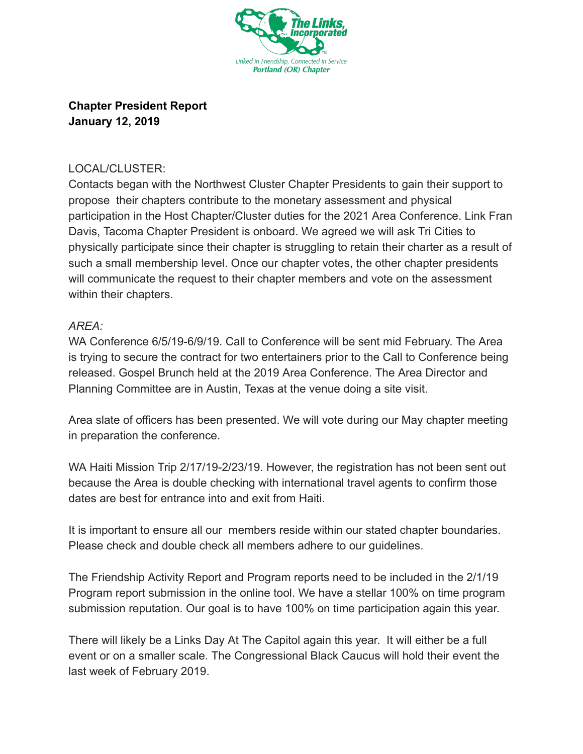

## **Chapter President Report January 12, 2019**

## LOCAL/CLUSTER:

Contacts began with the Northwest Cluster Chapter Presidents to gain their support to propose their chapters contribute to the monetary assessment and physical participation in the Host Chapter/Cluster duties for the 2021 Area Conference. Link Fran Davis, Tacoma Chapter President is onboard. We agreed we will ask Tri Cities to physically participate since their chapter is struggling to retain their charter as a result of such a small membership level. Once our chapter votes, the other chapter presidents will communicate the request to their chapter members and vote on the assessment within their chapters.

## *AREA:*

WA Conference 6/5/19-6/9/19. Call to Conference will be sent mid February. The Area is trying to secure the contract for two entertainers prior to the Call to Conference being released. Gospel Brunch held at the 2019 Area Conference. The Area Director and Planning Committee are in Austin, Texas at the venue doing a site visit.

Area slate of officers has been presented. We will vote during our May chapter meeting in preparation the conference.

WA Haiti Mission Trip 2/17/19-2/23/19. However, the registration has not been sent out because the Area is double checking with international travel agents to confirm those dates are best for entrance into and exit from Haiti.

It is important to ensure all our members reside within our stated chapter boundaries. Please check and double check all members adhere to our guidelines.

The Friendship Activity Report and Program reports need to be included in the 2/1/19 Program report submission in the online tool. We have a stellar 100% on time program submission reputation. Our goal is to have 100% on time participation again this year.

There will likely be a Links Day At The Capitol again this year. It will either be a full event or on a smaller scale. The Congressional Black Caucus will hold their event the last week of February 2019.